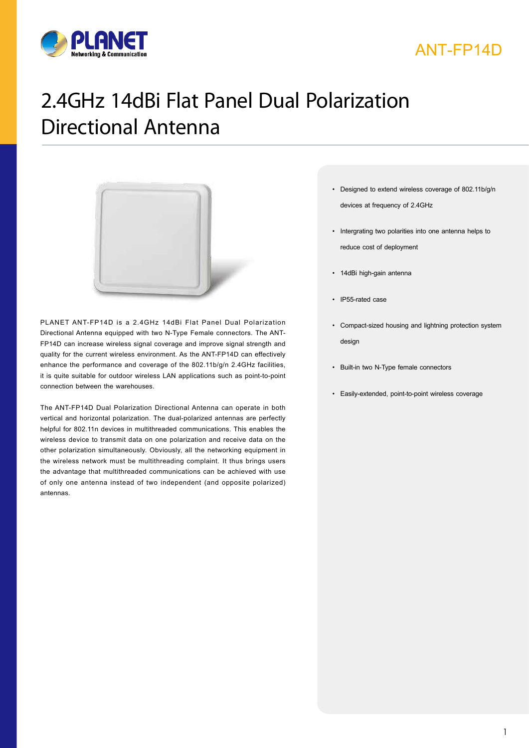

## ANT-FP14D

# 2.4GHz 14dBi Flat Panel Dual Polarization Directional Antenna



PLANET ANT-FP14D is a 2.4GHz 14dBi Flat Panel Dual Polarization Directional Antenna equipped with two N-Type Female connectors. The ANT-FP14D can increase wireless signal coverage and improve signal strength and quality for the current wireless environment. As the ANT-FP14D can effectively enhance the performance and coverage of the 802.11b/g/n 2.4GHz facilities, it is quite suitable for outdoor wireless LAN applications such as point-to-point connection between the warehouses.

The ANT-FP14D Dual Polarization Directional Antenna can operate in both vertical and horizontal polarization. The dual-polarized antennas are perfectly helpful for 802.11n devices in multithreaded communications. This enables the wireless device to transmit data on one polarization and receive data on the other polarization simultaneously. Obviously, all the networking equipment in the wireless network must be multithreading complaint. It thus brings users the advantage that multithreaded communications can be achieved with use of only one antenna instead of two independent (and opposite polarized) antennas.

- **Key Features** • Designed to extend wireless coverage of 802.11b/g/n devices at frequency of 2.4GHz
	- • Intergrating two polarities into one antenna helps to reduce cost of deployment
	- • 14dBi high-gain antenna
	- IP55-rated case
	- • Compact-sized housing and lightning protection system design
	- • Built-in two N-Type female connectors
	- • Easily-extended, point-to-point wireless coverage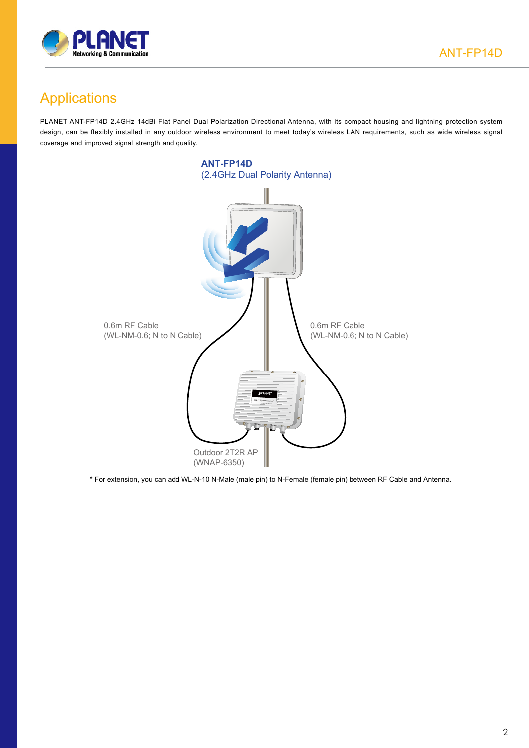

### Applications

PLANET ANT-FP14D 2.4GHz 14dBi Flat Panel Dual Polarization Directional Antenna, with its compact housing and lightning protection system design, can be flexibly installed in any outdoor wireless environment to meet today's wireless LAN requirements, such as wide wireless signal coverage and improved signal strength and quality.



\* For extension, you can add WL-N-10 N-Male (male pin) to N-Female (female pin) between RF Cable and Antenna.